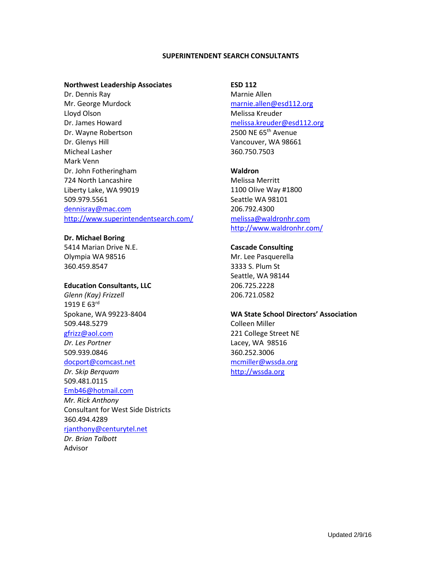#### **SUPERINTENDENT SEARCH CONSULTANTS**

#### **Northwest Leadership Associates**

Dr. Dennis Ray Mr. George Murdock Lloyd Olson Dr. James Howard Dr. Wayne Robertson Dr. Glenys Hill Micheal Lasher Mark Venn Dr. John Fotheringham 724 North Lancashire Liberty Lake, WA 99019 509.979.5561 [dennisray@mac.com](mailto:dennisray@mac.com) <http://www.superintendentsearch.com/>

#### **Dr. Michael Boring** 5414 Marian Drive N.E.

Olympia WA 98516 360.459.8547

## **Education Consultants, LLC**

*Glenn (Kay) Frizzell* 1919 E 63rd Spokane, WA 99223-8404 509.448.5279

# [gfrizz@aol.com](mailto:gfrizz@aol.com)

*Dr. Les Portner* 509.939.0846 [docport@comcast.net](mailto:docport@comcast.net) *Dr. Skip Berquam*

509.481.0115 [Emb46@hotmail.com](mailto:Emb46@hotmail.com)

*Mr. Rick Anthony* Consultant for West Side Districts 360.494.4289 [rjanthony@centurytel.net](mailto:rjanthony@centurytel.net)

*Dr. Brian Talbott* Advisor

### **ESD 112**

Marnie Allen [marnie.allen@esd112.org](mailto:marnie.allen@esd112.org) Melissa Kreuder [melissa.kreuder@esd112.org](mailto:melissa.kreuder@esd112.org) 2500 NE 65<sup>th</sup> Avenue Vancouver, WA 98661 360.750.7503

### **Waldron**

Melissa Merritt 1100 Olive Way #1800 Seattle WA 98101 206.792.4300 [melissa@waldronhr.com](mailto:melissa@waldronhr.com) <http://www.waldronhr.com/>

## **Cascade Consulting**

Mr. Lee Pasquerella 3333 S. Plum St Seattle, WA 98144 206.725.2228 206.721.0582

## **WA State School Directors' Association**

Colleen Miller 221 College Street NE Lacey, WA 98516 360.252.3006 [mcmiller@wssda.org](mailto:mcmiller@wssda.org) [http://wssda.org](http://wssda.org/)